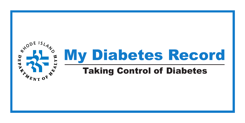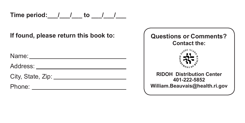Time period:  $\frac{1}{2}$  / to  $\frac{1}{2}$ 

**If found, please return this book to:**

Name:

Address:

City, State, Zip: 2008. Example 2014.

Phone: <u>with the second contract of the second contract of the second contract of the second contract of the second contract of the second contract of the second contract of the second contract of the second contract of th</u>

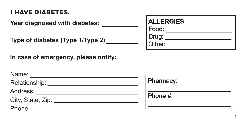#### I HAVE DIABETES.

**Year diagnosed with diabetes:**

| Type of diabetes (Type 1/Type 2) _ |  |  |  |
|------------------------------------|--|--|--|
|------------------------------------|--|--|--|

**In case of emergency, please notify:**

| <b>ALLERGIES</b> |  |
|------------------|--|
| Food:            |  |
| Drug:            |  |
| Other:           |  |

| Name:                            |           |
|----------------------------------|-----------|
| Relationship: ______________     | Pharmacy: |
| Address:                         |           |
| City, State, Zip: ______________ | Phone #:  |
| Phone:                           |           |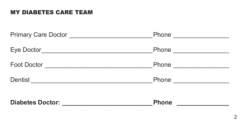#### MY DIABETES CARE TEAM

| <b>Phone</b>                                                                                                                       |                              |
|------------------------------------------------------------------------------------------------------------------------------------|------------------------------|
| Dentist                                                                                                                            | Phone <u>______________</u>  |
| <b>Foot Doctor</b><br><b>Phone</b>                                                                                                 |                              |
| Eye Doctor<br><u> 1989 - Johann John Stein, markin fan it ferstjer fan it ferstjer fan it ferstjer fan it ferstjer fan it fers</u> | Phone <u>_____________</u>   |
|                                                                                                                                    | Phone <u>_______________</u> |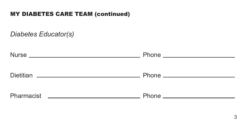#### MY DIABETES CARE TEAM (continued)

*Diabetes Educator(s)*

|            | Phone ______________________    |
|------------|---------------------------------|
|            | Phone _______________________   |
| Pharmacist | Phone _________________________ |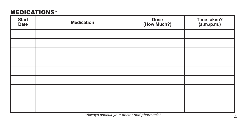#### MEDICATIONS\*

| <b>Start</b><br>Date | <b>Medication</b> | Dose<br>(How Much?) | Time taken?<br>(a.m./p.m.) |
|----------------------|-------------------|---------------------|----------------------------|
|                      |                   |                     |                            |
|                      |                   |                     |                            |
|                      |                   |                     |                            |
|                      |                   |                     |                            |
|                      |                   |                     |                            |
|                      |                   |                     |                            |
|                      |                   |                     |                            |
|                      |                   |                     |                            |
|                      |                   |                     |                            |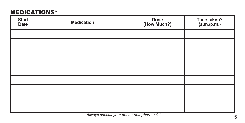#### MEDICATIONS\*

| <b>Start</b><br>Date | <b>Medication</b> | Dose<br>(How Much?) | Time taken?<br>(a.m./p.m.) |
|----------------------|-------------------|---------------------|----------------------------|
|                      |                   |                     |                            |
|                      |                   |                     |                            |
|                      |                   |                     |                            |
|                      |                   |                     |                            |
|                      |                   |                     |                            |
|                      |                   |                     |                            |
|                      |                   |                     |                            |
|                      |                   |                     |                            |
|                      |                   |                     |                            |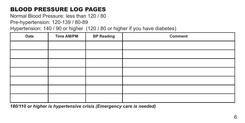## BLOOD PRESSURE LOG PAGES

Normal Blood Pressure: less than 120 / 80

Pre-hypertension: 120-139 / 80-89

Hypertension: 140 / 90 or higher (120 / 80 or higher if you have diabetes)

| Date | <b>Time AM/PM</b> | <b>BP Reading</b> | Comment |
|------|-------------------|-------------------|---------|
|      |                   |                   |         |
|      |                   |                   |         |
|      |                   |                   |         |
|      |                   |                   |         |
|      |                   |                   |         |
|      |                   |                   |         |
|      |                   |                   |         |

*180/110 or higher is hypertensive crisis (Emergency care is needed)*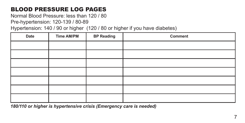### BLOOD PRESSURE LOG PAGES

Normal Blood Pressure: less than 120 / 80

Pre-hypertension: 120-139 / 80-89

Hypertension: 140 / 90 or higher (120 / 80 or higher if you have diabetes)

| Date | <b>Time AM/PM</b> | <b>BP Reading</b> | Comment |
|------|-------------------|-------------------|---------|
|      |                   |                   |         |
|      |                   |                   |         |
|      |                   |                   |         |
|      |                   |                   |         |
|      |                   |                   |         |
|      |                   |                   |         |
|      |                   |                   |         |

*180/110 or higher is hypertensive crisis (Emergency care is needed)*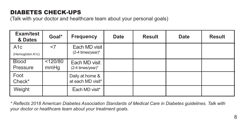## DIABETES CHECK-UPS

(Talk with your doctor and healthcare team about your personal goals)

| Exam/test<br>& Dates                 | Goal*            | <b>Frequency</b>                              | <b>Date</b> | <b>Result</b> | <b>Date</b> | <b>Result</b> |
|--------------------------------------|------------------|-----------------------------------------------|-------------|---------------|-------------|---------------|
| A <sub>1</sub> c<br>(Hemoglobin A1c) | $<$ 7            | Each MD visit<br>$(2-4 \text{ times/year})^*$ |             |               |             |               |
| <b>Blood</b><br>Pressure             | < 120/80<br>mmHq | Each MD visit<br>(2-4 times/year)*            |             |               |             |               |
| Foot<br>Check*                       |                  | Daily at home &<br>at each MD visit*          |             |               |             |               |
| Weight                               |                  | Each MD visit*                                |             |               |             |               |

*\* Reflects 2018 American Diabetes Association Standards of Medical Care in Diabetes guidelines. Talk with your doctor or healthcare team about your treatment goals.*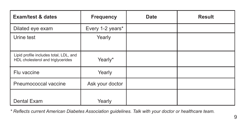| Exam/test & dates                                                           | <b>Frequency</b> | <b>Date</b> | <b>Result</b> |
|-----------------------------------------------------------------------------|------------------|-------------|---------------|
| Dilated eye exam                                                            | Every 1-2 years* |             |               |
| Urine test                                                                  | Yearly           |             |               |
| Lipid profile includes total, LDL, and<br>HDL cholesterol and triglycerides | Yearly*          |             |               |
| Flu vaccine                                                                 | Yearly           |             |               |
| Pneumococcal vaccine                                                        | Ask your doctor  |             |               |
| Dental Exam                                                                 | Yearly           |             |               |

*\* Reflects current American Diabetes Association guidelines. Talk with your doctor or healthcare team.*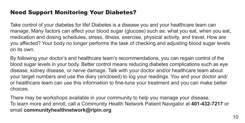#### Need Support Monitoring Your Diabetes?

Take control of your diabetes for life! Diabetes is a disease you and your healthcare team can manage. Many factors can affect your blood sugar (glucose) such as: what you eat, when you eat, medication and dosing schedules, stress, illness, exercise, physical activity, and travel. How are you affected? Your body no longer performs the task of checking and adjusting blood sugar levels on its own.

By following your doctor's and healthcare team's recommendations, you can regain control of the blood sugar levels in your body. Better control means reducing diabetes complications such as eye disease, kidney disease, or nerve damage. Talk with your doctor and/or healthcare team about your target numbers and use the diary (enclosed) to log your readings. You and your doctor and/ or healthcare team can use this information to fine-tune your treatment and you can make better choices.

There may be workshops available in your community to help you manage your disease. To learn more and enroll, call a Community Health Network Patient Navigator at **401-432-7217** or email **communityhealthnetwork@ripin.org**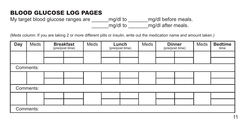My target blood glucose ranges are  $\frac{mq}{d}$  to  $\frac{mq}{d}$  before meals. \_\_\_\_\_\_mg/dl to \_\_\_\_\_\_\_mg/dl after meals.

| Day       | Meds      |  | <b>Breakfast</b><br>(pre/post time) | Meds | Lunch<br>(pre/post time) |  | Meds | <b>Dinner</b><br>(pre/post time) |  | Meds | <b>Bedtime</b><br>time |
|-----------|-----------|--|-------------------------------------|------|--------------------------|--|------|----------------------------------|--|------|------------------------|
|           |           |  |                                     |      |                          |  |      |                                  |  |      |                        |
|           |           |  |                                     |      |                          |  |      |                                  |  |      |                        |
|           | Comments: |  |                                     |      |                          |  |      |                                  |  |      |                        |
|           |           |  |                                     |      |                          |  |      |                                  |  |      |                        |
|           |           |  |                                     |      |                          |  |      |                                  |  |      |                        |
|           | Comments: |  |                                     |      |                          |  |      |                                  |  |      |                        |
|           |           |  |                                     |      |                          |  |      |                                  |  |      |                        |
|           |           |  |                                     |      |                          |  |      |                                  |  |      |                        |
| Comments: |           |  |                                     |      |                          |  |      |                                  |  |      |                        |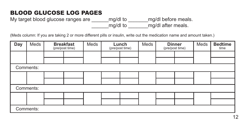My target blood glucose ranges are  $\frac{mq}{d}$  to  $\frac{mq}{d}$  before meals. \_\_\_\_\_\_mg/dl to \_\_\_\_\_\_\_mg/dl after meals.

| Day | Meds      |  | <b>Breakfast</b><br>(pre/post time) | Meds | Lunch<br>(pre/post time) |  | Meds | <b>Dinner</b><br>(pre/post time) |  | Meds | <b>Bedtime</b><br>time |
|-----|-----------|--|-------------------------------------|------|--------------------------|--|------|----------------------------------|--|------|------------------------|
|     |           |  |                                     |      |                          |  |      |                                  |  |      |                        |
|     |           |  |                                     |      |                          |  |      |                                  |  |      |                        |
|     | Comments: |  |                                     |      |                          |  |      |                                  |  |      |                        |
|     |           |  |                                     |      |                          |  |      |                                  |  |      |                        |
|     |           |  |                                     |      |                          |  |      |                                  |  |      |                        |
|     | Comments: |  |                                     |      |                          |  |      |                                  |  |      |                        |
|     |           |  |                                     |      |                          |  |      |                                  |  |      |                        |
|     |           |  |                                     |      |                          |  |      |                                  |  |      |                        |
|     | Comments: |  |                                     |      |                          |  |      |                                  |  |      |                        |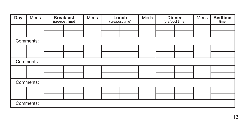| Day | Meds      | <b>Breakfast</b><br>(pre/post time) | Meds | Lunch<br>(pre/post time) | Meds | <b>Dinner</b><br>(pre/post time) | Meds | <b>Bedtime</b><br>time |
|-----|-----------|-------------------------------------|------|--------------------------|------|----------------------------------|------|------------------------|
|     |           |                                     |      |                          |      |                                  |      |                        |
|     |           |                                     |      |                          |      |                                  |      |                        |
|     | Comments: |                                     |      |                          |      |                                  |      |                        |
|     |           |                                     |      |                          |      |                                  |      |                        |
|     |           |                                     |      |                          |      |                                  |      |                        |
|     | Comments: |                                     |      |                          |      |                                  |      |                        |
|     |           |                                     |      |                          |      |                                  |      |                        |
|     |           |                                     |      |                          |      |                                  |      |                        |
|     | Comments: |                                     |      |                          |      |                                  |      |                        |
|     |           |                                     |      |                          |      |                                  |      |                        |
|     |           |                                     |      |                          |      |                                  |      |                        |
|     | Comments: |                                     |      |                          |      |                                  |      |                        |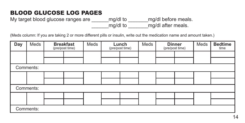My target blood glucose ranges are  $\frac{mq}{d}$  to  $\frac{mq}{d}$  before meals. \_\_\_\_\_\_mg/dl to \_\_\_\_\_\_\_mg/dl after meals.

| Day | Meds      |  | <b>Breakfast</b><br>(pre/post time) | Meds | Lunch<br>(pre/post time) |  | Meds | <b>Dinner</b><br>(pre/post time) |  | Meds | <b>Bedtime</b><br>time |
|-----|-----------|--|-------------------------------------|------|--------------------------|--|------|----------------------------------|--|------|------------------------|
|     |           |  |                                     |      |                          |  |      |                                  |  |      |                        |
|     |           |  |                                     |      |                          |  |      |                                  |  |      |                        |
|     | Comments: |  |                                     |      |                          |  |      |                                  |  |      |                        |
|     |           |  |                                     |      |                          |  |      |                                  |  |      |                        |
|     |           |  |                                     |      |                          |  |      |                                  |  |      |                        |
|     | Comments: |  |                                     |      |                          |  |      |                                  |  |      |                        |
|     |           |  |                                     |      |                          |  |      |                                  |  |      |                        |
|     |           |  |                                     |      |                          |  |      |                                  |  |      |                        |
|     | Comments: |  |                                     |      |                          |  |      |                                  |  |      |                        |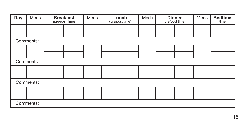| Day | Meds      | <b>Breakfast</b><br>(pre/post time) | Meds | Lunch<br>(pre/post time) | Meds | <b>Dinner</b><br>(pre/post time) | Meds | <b>Bedtime</b><br>time |
|-----|-----------|-------------------------------------|------|--------------------------|------|----------------------------------|------|------------------------|
|     |           |                                     |      |                          |      |                                  |      |                        |
|     |           |                                     |      |                          |      |                                  |      |                        |
|     | Comments: |                                     |      |                          |      |                                  |      |                        |
|     |           |                                     |      |                          |      |                                  |      |                        |
|     |           |                                     |      |                          |      |                                  |      |                        |
|     | Comments: |                                     |      |                          |      |                                  |      |                        |
|     |           |                                     |      |                          |      |                                  |      |                        |
|     |           |                                     |      |                          |      |                                  |      |                        |
|     | Comments: |                                     |      |                          |      |                                  |      |                        |
|     |           |                                     |      |                          |      |                                  |      |                        |
|     |           |                                     |      |                          |      |                                  |      |                        |
|     | Comments: |                                     |      |                          |      |                                  |      |                        |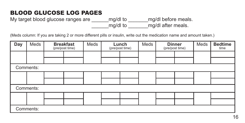My target blood glucose ranges are  $\frac{mq}{d}$  to  $\frac{mq}{d}$  before meals. \_\_\_\_\_\_mg/dl to \_\_\_\_\_\_\_mg/dl after meals.

| Day | Meds      |  | <b>Breakfast</b><br>(pre/post time) | Meds | Lunch<br>(pre/post time) |  | Meds | <b>Dinner</b><br>(pre/post time) |  | Meds | <b>Bedtime</b><br>time |
|-----|-----------|--|-------------------------------------|------|--------------------------|--|------|----------------------------------|--|------|------------------------|
|     |           |  |                                     |      |                          |  |      |                                  |  |      |                        |
|     |           |  |                                     |      |                          |  |      |                                  |  |      |                        |
|     | Comments: |  |                                     |      |                          |  |      |                                  |  |      |                        |
|     |           |  |                                     |      |                          |  |      |                                  |  |      |                        |
|     |           |  |                                     |      |                          |  |      |                                  |  |      |                        |
|     | Comments: |  |                                     |      |                          |  |      |                                  |  |      |                        |
|     |           |  |                                     |      |                          |  |      |                                  |  |      |                        |
|     |           |  |                                     |      |                          |  |      |                                  |  |      |                        |
|     | Comments: |  |                                     |      |                          |  |      |                                  |  |      |                        |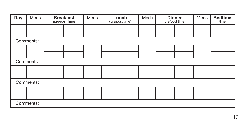| Day | Meds      | <b>Breakfast</b><br>(pre/post time) | Meds | Lunch<br>(pre/post time) | Meds | <b>Dinner</b><br>(pre/post time) | Meds | <b>Bedtime</b><br>time |
|-----|-----------|-------------------------------------|------|--------------------------|------|----------------------------------|------|------------------------|
|     |           |                                     |      |                          |      |                                  |      |                        |
|     |           |                                     |      |                          |      |                                  |      |                        |
|     | Comments: |                                     |      |                          |      |                                  |      |                        |
|     |           |                                     |      |                          |      |                                  |      |                        |
|     |           |                                     |      |                          |      |                                  |      |                        |
|     | Comments: |                                     |      |                          |      |                                  |      |                        |
|     |           |                                     |      |                          |      |                                  |      |                        |
|     |           |                                     |      |                          |      |                                  |      |                        |
|     | Comments: |                                     |      |                          |      |                                  |      |                        |
|     |           |                                     |      |                          |      |                                  |      |                        |
|     |           |                                     |      |                          |      |                                  |      |                        |
|     | Comments: |                                     |      |                          |      |                                  |      |                        |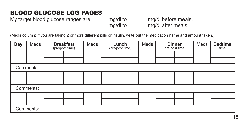My target blood glucose ranges are  $\frac{mq}{d}$  to  $\frac{mq}{d}$  before meals. \_\_\_\_\_\_mg/dl to \_\_\_\_\_\_\_mg/dl after meals.

| Day | Meds      |  | <b>Breakfast</b><br>(pre/post time) | Meds | Lunch<br>(pre/post time) |  | Meds | <b>Dinner</b><br>(pre/post time) |  | Meds | <b>Bedtime</b><br>time |
|-----|-----------|--|-------------------------------------|------|--------------------------|--|------|----------------------------------|--|------|------------------------|
|     |           |  |                                     |      |                          |  |      |                                  |  |      |                        |
|     |           |  |                                     |      |                          |  |      |                                  |  |      |                        |
|     | Comments: |  |                                     |      |                          |  |      |                                  |  |      |                        |
|     |           |  |                                     |      |                          |  |      |                                  |  |      |                        |
|     |           |  |                                     |      |                          |  |      |                                  |  |      |                        |
|     | Comments: |  |                                     |      |                          |  |      |                                  |  |      |                        |
|     |           |  |                                     |      |                          |  |      |                                  |  |      |                        |
|     |           |  |                                     |      |                          |  |      |                                  |  |      |                        |
|     | Comments: |  |                                     |      |                          |  |      |                                  |  |      |                        |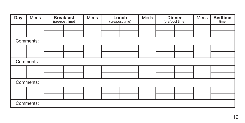| Day | Meds      | <b>Breakfast</b><br>(pre/post time) | Meds | Lunch<br>(pre/post time) | Meds | <b>Dinner</b><br>(pre/post time) | Meds | <b>Bedtime</b><br>time |
|-----|-----------|-------------------------------------|------|--------------------------|------|----------------------------------|------|------------------------|
|     |           |                                     |      |                          |      |                                  |      |                        |
|     |           |                                     |      |                          |      |                                  |      |                        |
|     | Comments: |                                     |      |                          |      |                                  |      |                        |
|     |           |                                     |      |                          |      |                                  |      |                        |
|     |           |                                     |      |                          |      |                                  |      |                        |
|     | Comments: |                                     |      |                          |      |                                  |      |                        |
|     |           |                                     |      |                          |      |                                  |      |                        |
|     |           |                                     |      |                          |      |                                  |      |                        |
|     | Comments: |                                     |      |                          |      |                                  |      |                        |
|     |           |                                     |      |                          |      |                                  |      |                        |
|     |           |                                     |      |                          |      |                                  |      |                        |
|     | Comments: |                                     |      |                          |      |                                  |      |                        |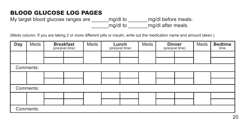My target blood glucose ranges are  $\frac{mq}{d}$  to  $\frac{mq}{d}$  before meals. \_\_\_\_\_\_mg/dl to \_\_\_\_\_\_\_mg/dl after meals.

| Day | Meds      |  | <b>Breakfast</b><br>(pre/post time) | Meds | Lunch<br>(pre/post time) |  | Meds | <b>Dinner</b><br>(pre/post time) |  | Meds | <b>Bedtime</b><br>time |
|-----|-----------|--|-------------------------------------|------|--------------------------|--|------|----------------------------------|--|------|------------------------|
|     |           |  |                                     |      |                          |  |      |                                  |  |      |                        |
|     |           |  |                                     |      |                          |  |      |                                  |  |      |                        |
|     | Comments: |  |                                     |      |                          |  |      |                                  |  |      |                        |
|     |           |  |                                     |      |                          |  |      |                                  |  |      |                        |
|     |           |  |                                     |      |                          |  |      |                                  |  |      |                        |
|     | Comments: |  |                                     |      |                          |  |      |                                  |  |      |                        |
|     |           |  |                                     |      |                          |  |      |                                  |  |      |                        |
|     |           |  |                                     |      |                          |  |      |                                  |  |      |                        |
|     | Comments: |  |                                     |      |                          |  |      |                                  |  |      |                        |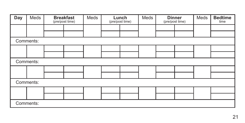| Day | Meds      | <b>Breakfast</b><br>(pre/post time) | Meds | Lunch<br>(pre/post time) | Meds | <b>Dinner</b><br>(pre/post time) | Meds | <b>Bedtime</b><br>time |
|-----|-----------|-------------------------------------|------|--------------------------|------|----------------------------------|------|------------------------|
|     |           |                                     |      |                          |      |                                  |      |                        |
|     |           |                                     |      |                          |      |                                  |      |                        |
|     | Comments: |                                     |      |                          |      |                                  |      |                        |
|     |           |                                     |      |                          |      |                                  |      |                        |
|     |           |                                     |      |                          |      |                                  |      |                        |
|     | Comments: |                                     |      |                          |      |                                  |      |                        |
|     |           |                                     |      |                          |      |                                  |      |                        |
|     |           |                                     |      |                          |      |                                  |      |                        |
|     | Comments: |                                     |      |                          |      |                                  |      |                        |
|     |           |                                     |      |                          |      |                                  |      |                        |
|     |           |                                     |      |                          |      |                                  |      |                        |
|     | Comments: |                                     |      |                          |      |                                  |      |                        |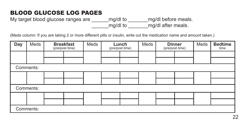My target blood glucose ranges are  $\frac{mq}{d}$  to  $\frac{mq}{d}$  before meals. \_\_\_\_\_\_mg/dl to \_\_\_\_\_\_\_mg/dl after meals.

| Day | Meds      |  | <b>Breakfast</b><br>(pre/post time) | Meds | Lunch<br>(pre/post time) |  | Meds | <b>Dinner</b><br>(pre/post time) |  | Meds | <b>Bedtime</b><br>time |
|-----|-----------|--|-------------------------------------|------|--------------------------|--|------|----------------------------------|--|------|------------------------|
|     |           |  |                                     |      |                          |  |      |                                  |  |      |                        |
|     |           |  |                                     |      |                          |  |      |                                  |  |      |                        |
|     | Comments: |  |                                     |      |                          |  |      |                                  |  |      |                        |
|     |           |  |                                     |      |                          |  |      |                                  |  |      |                        |
|     |           |  |                                     |      |                          |  |      |                                  |  |      |                        |
|     | Comments: |  |                                     |      |                          |  |      |                                  |  |      |                        |
|     |           |  |                                     |      |                          |  |      |                                  |  |      |                        |
|     |           |  |                                     |      |                          |  |      |                                  |  |      |                        |
|     | Comments: |  |                                     |      |                          |  |      |                                  |  |      |                        |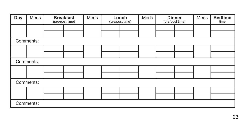| Day | Meds      | <b>Breakfast</b><br>(pre/post time) | Meds | Lunch<br>(pre/post time) | Meds | <b>Dinner</b><br>(pre/post time) | Meds | <b>Bedtime</b><br>time |
|-----|-----------|-------------------------------------|------|--------------------------|------|----------------------------------|------|------------------------|
|     |           |                                     |      |                          |      |                                  |      |                        |
|     |           |                                     |      |                          |      |                                  |      |                        |
|     | Comments: |                                     |      |                          |      |                                  |      |                        |
|     |           |                                     |      |                          |      |                                  |      |                        |
|     |           |                                     |      |                          |      |                                  |      |                        |
|     | Comments: |                                     |      |                          |      |                                  |      |                        |
|     |           |                                     |      |                          |      |                                  |      |                        |
|     |           |                                     |      |                          |      |                                  |      |                        |
|     | Comments: |                                     |      |                          |      |                                  |      |                        |
|     |           |                                     |      |                          |      |                                  |      |                        |
|     |           |                                     |      |                          |      |                                  |      |                        |
|     | Comments: |                                     |      |                          |      |                                  |      |                        |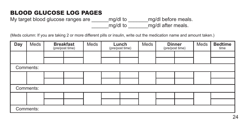My target blood glucose ranges are  $\frac{mq}{d}$  to  $\frac{mq}{d}$  before meals. \_\_\_\_\_\_mg/dl to \_\_\_\_\_\_\_mg/dl after meals.

| Day | Meds      | <b>Breakfast</b><br>(pre/post time) | Meds | Lunch<br>(pre/post time) | Meds | (pre/post time) | <b>Dinner</b> | Meds | <b>Bedtime</b><br>time |
|-----|-----------|-------------------------------------|------|--------------------------|------|-----------------|---------------|------|------------------------|
|     |           |                                     |      |                          |      |                 |               |      |                        |
|     |           |                                     |      |                          |      |                 |               |      |                        |
|     | Comments: |                                     |      |                          |      |                 |               |      |                        |
|     |           |                                     |      |                          |      |                 |               |      |                        |
|     |           |                                     |      |                          |      |                 |               |      |                        |
|     | Comments: |                                     |      |                          |      |                 |               |      |                        |
|     |           |                                     |      |                          |      |                 |               |      |                        |
|     |           |                                     |      |                          |      |                 |               |      |                        |
|     | Comments: |                                     |      |                          |      |                 |               |      |                        |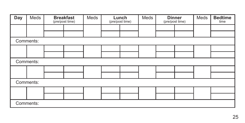| Day | Meds      | <b>Breakfast</b><br>(pre/post time) | Meds | Lunch<br>(pre/post time) | Meds | <b>Dinner</b><br>(pre/post time) | Meds | <b>Bedtime</b><br>time |
|-----|-----------|-------------------------------------|------|--------------------------|------|----------------------------------|------|------------------------|
|     |           |                                     |      |                          |      |                                  |      |                        |
|     |           |                                     |      |                          |      |                                  |      |                        |
|     | Comments: |                                     |      |                          |      |                                  |      |                        |
|     |           |                                     |      |                          |      |                                  |      |                        |
|     |           |                                     |      |                          |      |                                  |      |                        |
|     | Comments: |                                     |      |                          |      |                                  |      |                        |
|     |           |                                     |      |                          |      |                                  |      |                        |
|     |           |                                     |      |                          |      |                                  |      |                        |
|     | Comments: |                                     |      |                          |      |                                  |      |                        |
|     |           |                                     |      |                          |      |                                  |      |                        |
|     |           |                                     |      |                          |      |                                  |      |                        |
|     | Comments: |                                     |      |                          |      |                                  |      |                        |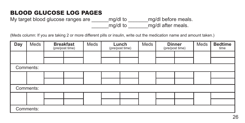My target blood glucose ranges are  $\frac{mq}{d}$  to  $\frac{mq}{d}$  before meals. \_\_\_\_\_\_mg/dl to \_\_\_\_\_\_\_mg/dl after meals.

| Day | Meds      | <b>Breakfast</b><br>(pre/post time) | Meds | Lunch<br>(pre/post time) | Meds | (pre/post time) | <b>Dinner</b> | Meds | <b>Bedtime</b><br>time |
|-----|-----------|-------------------------------------|------|--------------------------|------|-----------------|---------------|------|------------------------|
|     |           |                                     |      |                          |      |                 |               |      |                        |
|     |           |                                     |      |                          |      |                 |               |      |                        |
|     | Comments: |                                     |      |                          |      |                 |               |      |                        |
|     |           |                                     |      |                          |      |                 |               |      |                        |
|     |           |                                     |      |                          |      |                 |               |      |                        |
|     | Comments: |                                     |      |                          |      |                 |               |      |                        |
|     |           |                                     |      |                          |      |                 |               |      |                        |
|     |           |                                     |      |                          |      |                 |               |      |                        |
|     | Comments: |                                     |      |                          |      |                 |               |      |                        |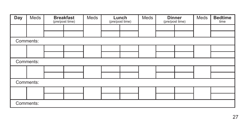| Day | Meds      | <b>Breakfast</b><br>(pre/post time) | Meds | Lunch<br>(pre/post time) | Meds | <b>Dinner</b><br>(pre/post time) | Meds | <b>Bedtime</b><br>time |
|-----|-----------|-------------------------------------|------|--------------------------|------|----------------------------------|------|------------------------|
|     |           |                                     |      |                          |      |                                  |      |                        |
|     |           |                                     |      |                          |      |                                  |      |                        |
|     | Comments: |                                     |      |                          |      |                                  |      |                        |
|     |           |                                     |      |                          |      |                                  |      |                        |
|     |           |                                     |      |                          |      |                                  |      |                        |
|     | Comments: |                                     |      |                          |      |                                  |      |                        |
|     |           |                                     |      |                          |      |                                  |      |                        |
|     |           |                                     |      |                          |      |                                  |      |                        |
|     | Comments: |                                     |      |                          |      |                                  |      |                        |
|     |           |                                     |      |                          |      |                                  |      |                        |
|     |           |                                     |      |                          |      |                                  |      |                        |
|     | Comments: |                                     |      |                          |      |                                  |      |                        |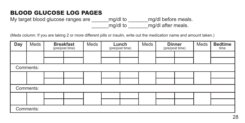My target blood glucose ranges are \_\_\_\_\_\_\_\_\_ mg/dl to \_\_\_\_\_\_\_\_\_\_\_\_\_\_\_\_\_\_\_\_\_\_\_\_\_\_ \_\_\_\_\_\_mg/dl to \_\_\_\_\_\_\_mg/dl after meals.

| Day | Meds      | <b>Breakfast</b><br>(pre/post time) | Meds | Lunch<br>(pre/post time) | Meds | <b>Dinner</b><br>(pre/post time) | Meds | <b>Bedtime</b><br>time |
|-----|-----------|-------------------------------------|------|--------------------------|------|----------------------------------|------|------------------------|
|     |           |                                     |      |                          |      |                                  |      |                        |
|     |           |                                     |      |                          |      |                                  |      |                        |
|     | Comments: |                                     |      |                          |      |                                  |      |                        |
|     |           |                                     |      |                          |      |                                  |      |                        |
|     |           |                                     |      |                          |      |                                  |      |                        |
|     | Comments: |                                     |      |                          |      |                                  |      |                        |
|     |           |                                     |      |                          |      |                                  |      |                        |
|     |           |                                     |      |                          |      |                                  |      |                        |
|     | Comments: |                                     |      |                          |      |                                  |      |                        |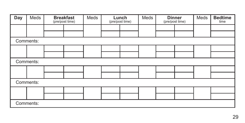| Day | Meds      | <b>Breakfast</b><br>(pre/post time) | Meds | Lunch<br>(pre/post time) | Meds | <b>Dinner</b><br>(pre/post time) | Meds | <b>Bedtime</b><br>time |
|-----|-----------|-------------------------------------|------|--------------------------|------|----------------------------------|------|------------------------|
|     |           |                                     |      |                          |      |                                  |      |                        |
|     |           |                                     |      |                          |      |                                  |      |                        |
|     | Comments: |                                     |      |                          |      |                                  |      |                        |
|     |           |                                     |      |                          |      |                                  |      |                        |
|     |           |                                     |      |                          |      |                                  |      |                        |
|     | Comments: |                                     |      |                          |      |                                  |      |                        |
|     |           |                                     |      |                          |      |                                  |      |                        |
|     |           |                                     |      |                          |      |                                  |      |                        |
|     | Comments: |                                     |      |                          |      |                                  |      |                        |
|     |           |                                     |      |                          |      |                                  |      |                        |
|     |           |                                     |      |                          |      |                                  |      |                        |
|     | Comments: |                                     |      |                          |      |                                  |      |                        |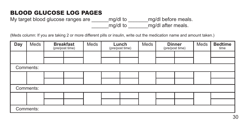My target blood glucose ranges are \_\_\_\_\_\_\_\_ mg/dl to \_\_\_\_\_\_\_\_ mg/dl before meals. \_\_\_\_\_\_mg/dl to \_\_\_\_\_\_\_mg/dl after meals.

| Day | Meds      | <b>Breakfast</b><br>(pre/post time) | Meds | Lunch<br>(pre/post time) | Meds | <b>Dinner</b><br>(pre/post time) | Meds | <b>Bedtime</b><br>time |
|-----|-----------|-------------------------------------|------|--------------------------|------|----------------------------------|------|------------------------|
|     |           |                                     |      |                          |      |                                  |      |                        |
|     |           |                                     |      |                          |      |                                  |      |                        |
|     | Comments: |                                     |      |                          |      |                                  |      |                        |
|     |           |                                     |      |                          |      |                                  |      |                        |
|     |           |                                     |      |                          |      |                                  |      |                        |
|     | Comments: |                                     |      |                          |      |                                  |      |                        |
|     |           |                                     |      |                          |      |                                  |      |                        |
|     |           |                                     |      |                          |      |                                  |      |                        |
|     | Comments: |                                     |      |                          |      |                                  |      |                        |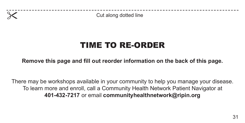

**Cut along dotted line** 

# TIME TO RE-ORDER

**Remove this page and fill out reorder information on the back of this page.**

There may be workshops available in your community to help you manage your disease. To learn more and enroll, call a Community Health Network Patient Navigator at **401-432-7217** or email **communityhealthnetwork@ripin.org**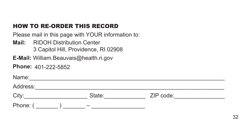#### HOW TO RE-ORDER THIS RECORD

Please mail in this page with YOUR information to:

**Mail:** RIDOH Distribution Center

3 Capitol Hill, Providence, RI 02908

**E-Mail:** William.Beauvais@health.ri.gov

**Phone:** 401-222-5852

| Name:    |        |           |  |
|----------|--------|-----------|--|
| Address: |        |           |  |
| City:    | State: | ZIP code: |  |
| Phone: ( | _      |           |  |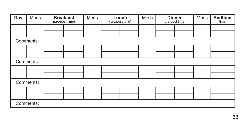| Day | Meds      | <b>Breakfast</b><br>(pre/post time) | Meds | Lunch<br>(pre/post time) | Meds | <b>Dinner</b><br>(pre/post time) | Meds | <b>Bedtime</b><br>time |
|-----|-----------|-------------------------------------|------|--------------------------|------|----------------------------------|------|------------------------|
|     |           |                                     |      |                          |      |                                  |      |                        |
|     |           |                                     |      |                          |      |                                  |      |                        |
|     | Comments: |                                     |      |                          |      |                                  |      |                        |
|     |           |                                     |      |                          |      |                                  |      |                        |
|     |           |                                     |      |                          |      |                                  |      |                        |
|     | Comments: |                                     |      |                          |      |                                  |      |                        |
|     |           |                                     |      |                          |      |                                  |      |                        |
|     |           |                                     |      |                          |      |                                  |      |                        |
|     | Comments: |                                     |      |                          |      |                                  |      |                        |
|     |           |                                     |      |                          |      |                                  |      |                        |
|     |           |                                     |      |                          |      |                                  |      |                        |
|     | Comments: |                                     |      |                          |      |                                  |      |                        |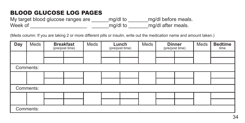My target blood glucose ranges are \_\_\_\_\_\_mg/dl to \_\_\_\_\_\_\_mg/dl before meals.<br>Week of deed not all to a man mg/dl after meals. Week of **EXECUTE:** Meek of **EXECUTE:**  $mg/dl$  to  $mg/dl$  after meals.

| Day | Meds      | <b>Breakfast</b><br>(pre/post time) | Meds | Lunch<br>(pre/post time) | Meds | <b>Dinner</b><br>(pre/post time) | Meds | <b>Bedtime</b><br>time |
|-----|-----------|-------------------------------------|------|--------------------------|------|----------------------------------|------|------------------------|
|     |           |                                     |      |                          |      |                                  |      |                        |
|     |           |                                     |      |                          |      |                                  |      |                        |
|     | Comments: |                                     |      |                          |      |                                  |      |                        |
|     |           |                                     |      |                          |      |                                  |      |                        |
|     |           |                                     |      |                          |      |                                  |      |                        |
|     | Comments: |                                     |      |                          |      |                                  |      |                        |
|     |           |                                     |      |                          |      |                                  |      |                        |
|     |           |                                     |      |                          |      |                                  |      |                        |
|     | Comments: |                                     |      |                          |      |                                  |      |                        |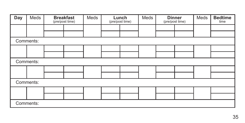| Day | Meds      | <b>Breakfast</b><br>(pre/post time) | Meds | Lunch<br>(pre/post time) | Meds | <b>Dinner</b><br>(pre/post time) | Meds | <b>Bedtime</b><br>time |
|-----|-----------|-------------------------------------|------|--------------------------|------|----------------------------------|------|------------------------|
|     |           |                                     |      |                          |      |                                  |      |                        |
|     |           |                                     |      |                          |      |                                  |      |                        |
|     | Comments: |                                     |      |                          |      |                                  |      |                        |
|     |           |                                     |      |                          |      |                                  |      |                        |
|     |           |                                     |      |                          |      |                                  |      |                        |
|     | Comments: |                                     |      |                          |      |                                  |      |                        |
|     |           |                                     |      |                          |      |                                  |      |                        |
|     |           |                                     |      |                          |      |                                  |      |                        |
|     | Comments: |                                     |      |                          |      |                                  |      |                        |
|     |           |                                     |      |                          |      |                                  |      |                        |
|     |           |                                     |      |                          |      |                                  |      |                        |
|     | Comments: |                                     |      |                          |      |                                  |      |                        |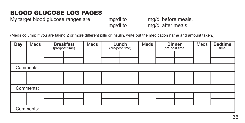My target blood glucose ranges are \_\_\_\_\_\_\_\_ mg/dl to \_\_\_\_\_\_\_\_ mg/dl before meals. \_\_\_\_\_\_mg/dl to \_\_\_\_\_\_\_mg/dl after meals.

| Day | Meds      | <b>Breakfast</b><br>(pre/post time) | Meds | Lunch<br>(pre/post time) | Meds | <b>Dinner</b><br>(pre/post time) | Meds | <b>Bedtime</b><br>time |
|-----|-----------|-------------------------------------|------|--------------------------|------|----------------------------------|------|------------------------|
|     |           |                                     |      |                          |      |                                  |      |                        |
|     |           |                                     |      |                          |      |                                  |      |                        |
|     | Comments: |                                     |      |                          |      |                                  |      |                        |
|     |           |                                     |      |                          |      |                                  |      |                        |
|     |           |                                     |      |                          |      |                                  |      |                        |
|     | Comments: |                                     |      |                          |      |                                  |      |                        |
|     |           |                                     |      |                          |      |                                  |      |                        |
|     |           |                                     |      |                          |      |                                  |      |                        |
|     | Comments: |                                     |      |                          |      |                                  |      |                        |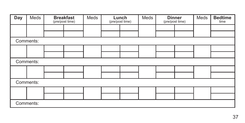| Day       | Meds      |  | <b>Breakfast</b><br>(pre/post time) | Meds |  | Lunch<br>(pre/post time) | Meds | <b>Dinner</b><br>(pre/post time) |  | Meds | <b>Bedtime</b><br>time |
|-----------|-----------|--|-------------------------------------|------|--|--------------------------|------|----------------------------------|--|------|------------------------|
|           |           |  |                                     |      |  |                          |      |                                  |  |      |                        |
|           |           |  |                                     |      |  |                          |      |                                  |  |      |                        |
|           | Comments: |  |                                     |      |  |                          |      |                                  |  |      |                        |
|           |           |  |                                     |      |  |                          |      |                                  |  |      |                        |
|           |           |  |                                     |      |  |                          |      |                                  |  |      |                        |
| Comments: |           |  |                                     |      |  |                          |      |                                  |  |      |                        |
|           |           |  |                                     |      |  |                          |      |                                  |  |      |                        |
|           |           |  |                                     |      |  |                          |      |                                  |  |      |                        |
|           | Comments: |  |                                     |      |  |                          |      |                                  |  |      |                        |
|           |           |  |                                     |      |  |                          |      |                                  |  |      |                        |
|           |           |  |                                     |      |  |                          |      |                                  |  |      |                        |
|           | Comments: |  |                                     |      |  |                          |      |                                  |  |      |                        |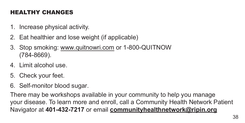## HEALTHY CHANGES

- 1. Increase physical activity.
- 2. Eat healthier and lose weight (if applicable)
- 3. Stop smoking: www.quitnowri.com or 1-800-QUITNOW (784-8669).
- 4. Limit alcohol use.
- 5. Check your feet.
- 6. Self-monitor blood sugar.

There may be workshops available in your community to help you manage your disease. To learn more and enroll, call a Community Health Network Patient Navigator at **401-432-7217** or email **communityhealthnetwork@ripin.org**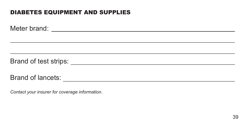#### DIABETES EQUIPMENT AND SUPPLIES

Meter brand:

Brand of test strips:

Brand of lancets:

*Contact your insurer for coverage information.*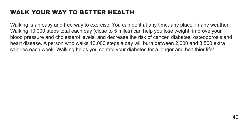#### WALK YOUR WAY TO BETTER HEALTH

Walking is an easy and free way to exercise! You can do it at any time, any place, in any weather. Walking 10,000 steps total each day (close to 5 miles) can help you lose weight, improve your blood pressure and cholesterol levels, and decrease the risk of cancer, diabetes, osteoporosis and heart disease. A person who walks 10,000 steps a day will burn between 2,000 and 3,500 extra calories each week. Walking helps you control your diabetes for a longer and healthier life!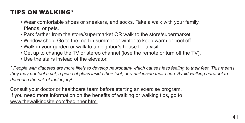#### TIPS ON WALKING\*

- Wear comfortable shoes or sneakers, and socks. Take a walk with your family, friends, or pets.
- Park farther from the store/supermarket OR walk to the store/supermarket.
- Window shop. Go to the mall in summer or winter to keep warm or cool off.
- Walk in your garden or walk to a neighbor's house for a visit.
- Get up to change the TV or stereo channel (lose the remote or turn off the TV).
- Use the stairs instead of the elevator.

*\* People with diabetes are more likely to develop neuropathy which causes less feeling to their feet. This means they may not feel a cut, a piece of glass inside their foot, or a nail inside their shoe. Avoid walking barefoot to decrease the risk of foot injury!*

Consult your doctor or healthcare team before starting an exercise program. If you need more information on the benefits of walking or walking tips, go to www.thewalkingsite.com/beginner.html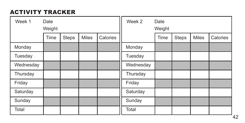## ACTIVITY TRACKER

| Week 1    | Date<br>Weight |       |              |          | Week 2    | Date<br>Weight |       |              |          |  |  |
|-----------|----------------|-------|--------------|----------|-----------|----------------|-------|--------------|----------|--|--|
|           | Time           | Steps | <b>Miles</b> | Calories |           | Time           | Steps | <b>Miles</b> | Calories |  |  |
| Monday    |                |       |              |          | Monday    |                |       |              |          |  |  |
| Tuesday   |                |       |              |          | Tuesday   |                |       |              |          |  |  |
| Wednesday |                |       |              |          | Wednesday |                |       |              |          |  |  |
| Thursday  |                |       |              |          | Thursday  |                |       |              |          |  |  |
| Friday    |                |       |              |          | Friday    |                |       |              |          |  |  |
| Saturday  |                |       |              |          | Saturday  |                |       |              |          |  |  |
| Sunday    |                |       |              |          | Sunday    |                |       |              |          |  |  |
| Total     |                |       |              |          | Total     |                |       |              |          |  |  |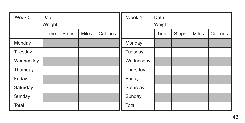| Week 3    | Date<br>Weight |       |              |          | Week 4    | Date<br>Weight |       |              |          |  |
|-----------|----------------|-------|--------------|----------|-----------|----------------|-------|--------------|----------|--|
|           | Time           | Steps | <b>Miles</b> | Calories |           | Time           | Steps | <b>Miles</b> | Calories |  |
| Monday    |                |       |              |          | Monday    |                |       |              |          |  |
| Tuesday   |                |       |              |          | Tuesday   |                |       |              |          |  |
| Wednesday |                |       |              |          | Wednesday |                |       |              |          |  |
| Thursday  |                |       |              |          | Thursday  |                |       |              |          |  |
| Friday    |                |       |              |          | Friday    |                |       |              |          |  |
| Saturday  |                |       |              |          | Saturday  |                |       |              |          |  |
| Sunday    |                |       |              |          | Sunday    |                |       |              |          |  |
| Total     |                |       |              |          | Total     |                |       |              |          |  |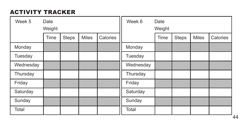## ACTIVITY TRACKER

| Week 5    | Date<br>Weight |              |              |          | Week 6    | Date<br>Weight |       |              |          |  |
|-----------|----------------|--------------|--------------|----------|-----------|----------------|-------|--------------|----------|--|
|           | Time           | <b>Steps</b> | <b>Miles</b> | Calories |           | Time           | Steps | <b>Miles</b> | Calories |  |
| Monday    |                |              |              |          | Monday    |                |       |              |          |  |
| Tuesday   |                |              |              |          | Tuesday   |                |       |              |          |  |
| Wednesday |                |              |              |          | Wednesday |                |       |              |          |  |
| Thursday  |                |              |              |          | Thursday  |                |       |              |          |  |
| Friday    |                |              |              |          | Friday    |                |       |              |          |  |
| Saturday  |                |              |              |          | Saturday  |                |       |              |          |  |
| Sunday    |                |              |              |          | Sunday    |                |       |              |          |  |
| Total     |                |              |              |          | Total     |                |       |              |          |  |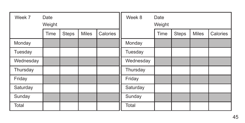| Week 7    | Date<br>Weight |       |              |          | Week 8    | Date<br>Weight |              |              |          |  |
|-----------|----------------|-------|--------------|----------|-----------|----------------|--------------|--------------|----------|--|
|           | Time           | Steps | <b>Miles</b> | Calories |           | Time           | <b>Steps</b> | <b>Miles</b> | Calories |  |
| Monday    |                |       |              |          | Monday    |                |              |              |          |  |
| Tuesday   |                |       |              |          | Tuesday   |                |              |              |          |  |
| Wednesday |                |       |              |          | Wednesday |                |              |              |          |  |
| Thursday  |                |       |              |          | Thursday  |                |              |              |          |  |
| Friday    |                |       |              |          | Friday    |                |              |              |          |  |
| Saturday  |                |       |              |          | Saturday  |                |              |              |          |  |
| Sunday    |                |       |              |          | Sunday    |                |              |              |          |  |
| Total     |                |       |              |          | Total     |                |              |              |          |  |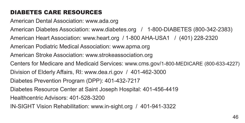## DIABETES CARE RESOURCES

American Dental Association: www.ada.org American Diabetes Association: www.diabetes.org / 1-800-DIABETES (800-342-2383) American Heart Association: www.heart.org / 1-800 AHA-USA1 / (401) 228-2320 American Podiatric Medical Association: www.apma.org American Stroke Association: www.strokeassociation.org Centers for Medicare and Medicaid Services: www.cms.gov/1-800-MEDICARE (800-633-4227) Division of Elderly Affairs, RI: www.dea.ri.gov / 401-462-3000 Diabetes Prevention Program (DPP): 401-432-7217 Diabetes Resource Center at Saint Joseph Hospital: 401-456-4419 Healthcentric Advisors: 401-528-3200 IN-SIGHT Vision Rehabilitation: www.in-sight.org / 401-941-3322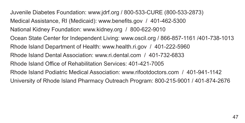Juvenile Diabetes Foundation: www.jdrf.org / 800-533-CURE (800-533-2873) Medical Assistance, RI (Medicaid): www.benefits.gov / 401-462-5300 National Kidney Foundation: www.kidney.org / 800-622-9010 Ocean State Center for Independent Living: www.oscil.org / 866-857-1161 /401-738-1013 Rhode Island Department of Health: www.health.ri.gov / 401-222-5960 Rhode Island Dental Association: www.ri.dental.com / 401-732-6833 Rhode Island Office of Rehabilitation Services: 401-421-7005 Rhode Island Podiatric Medical Association: www.rifootdoctors.com / 401-941-1142 University of Rhode Island Pharmacy Outreach Program: 800-215-9001 / 401-874-2676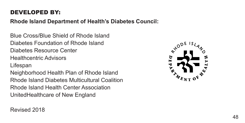#### DEVELOPED BY:

**Rhode Island Department of Health's Diabetes Council:**

Blue Cross/Blue Shield of Rhode Island Diabetes Foundation of Rhode Island Diabetes Resource Center Healthcentric Advisors Lifespan Neighborhood Health Plan of Rhode Island Rhode Island Diabetes Multicultural Coalition Rhode Island Health Center Association UnitedHealthcare of New England



Revised 2018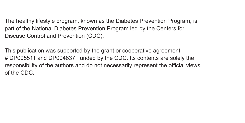The healthy lifestyle program, known as the Diabetes Prevention Program, is part of the National Diabetes Prevention Program led by the Centers for Disease Control and Prevention (CDC).

This publication was supported by the grant or cooperative agreement # DP005511 and DP004837, funded by the CDC. Its contents are solely the responsibility of the authors and do not necessarily represent the official views of the CDC.